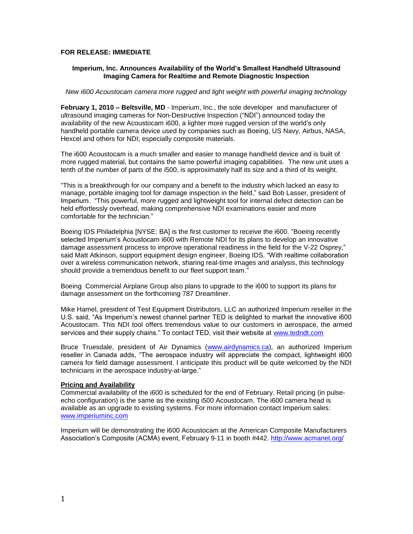## **FOR RELEASE: IMMEDIATE**

## **Imperium, Inc. Announces Availability of the World's Smallest Handheld Ultrasound Imaging Camera for Realtime and Remote Diagnostic Inspection**

## *New i600 Acoustocam camera more rugged and light weight with powerful imaging technology*

**February 1, 2010 – Beltsville, MD** - Imperium, Inc., the sole developer and manufacturer of ultrasound imaging cameras for Non-Destructive Inspection ("NDI") announced today the availability of the new Acoustocam i600, a lighter more rugged version of the world's only handheld portable camera device used by companies such as Boeing, US Navy, Airbus, NASA, Hexcel and others for NDI; especially composite materials.

The i600 Acoustocam is a much smaller and easier to manage handheld device and is built of more rugged material, but contains the same powerful imaging capabilities. The new unit uses a tenth of the number of parts of the i500, is approximately half its size and a third of its weight.

"This is a breakthrough for our company and a benefit to the industry which lacked an easy to manage, portable imaging tool for damage inspection in the field," said Bob Lasser, president of Imperium. "This powerful, more rugged and lightweight tool for internal defect detection can be held effortlessly overhead, making comprehensive NDI examinations easier and more comfortable for the technician."

Boeing IDS Philadelphia [NYSE: BA] is the first customer to receive the i600. "Boeing recently selected Imperium's Acoustocam i600 with Remote NDI for its plans to develop an innovative damage assessment process to improve operational readiness in the field for the V-22 Osprey," said Matt Atkinson, support equipment design engineer, Boeing IDS. "With realtime collaboration over a wireless communication network, sharing real-time images and analysis, this technology should provide a tremendous benefit to our fleet support team."

Boeing Commercial Airplane Group also plans to upgrade to the i600 to support its plans for damage assessment on the forthcoming 787 Dreamliner.

Mike Hamel, president of Test Equipment Distributors, LLC an authorized Imperium reseller in the U.S. said, "As Imperium's newest channel partner TED is delighted to market the innovative i600 Acoustocam. This NDI tool offers tremendous value to our customers in aerospace, the armed services and their supply chains." To contact TED, visit their website at [www.tedndt.com](http://www.tedndt.com/)

Bruce Truesdale, president of Air Dynamics [\(www.airdynamics.ca\)](http://www.airdynamics.ca/), an authorized Imperium reseller in Canada adds, "The aerospace industry will appreciate the compact, lightweight i600 camera for field damage assessment. I anticipate this product will be quite welcomed by the NDI technicians in the aerospace industry-at-large."

## **Pricing and Availability**

Commercial availability of the i600 is scheduled for the end of February. Retail pricing (in pulseecho configuration) is the same as the existing i500 Acoustocam. The i600 camera head is available as an upgrade to existing systems. For more information contact Imperium sales: [www.imperiuminc.com](http://www.imperiuminc.com/)

Imperium will be demonstrating the i600 Acoustocam at the American Composite Manufacturers Association's Composite (ACMA) event, February 9-11 in booth #442.<http://www.acmanet.org/>